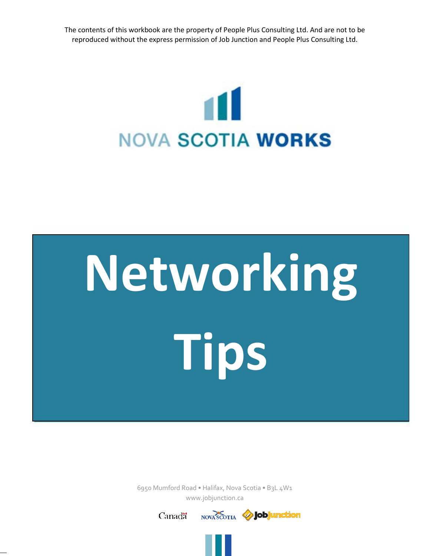The contents of this workbook are the property of People Plus Consulting Ltd. And are not to be reproduced without the express permission of Job Junction and People Plus Consulting Ltd.



# **Networking Tips**

6950 Mumford Road • Halifax, Nova Scotia • B3L 4W1 www.jobjunction.ca

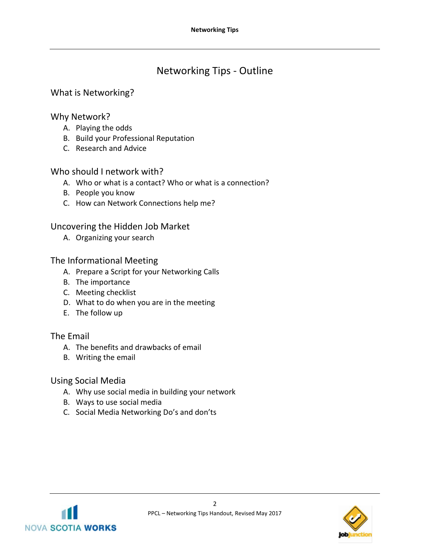# Networking Tips - Outline

# What is Networking?

# Why Network?

- A. Playing the odds
- B. Build your Professional Reputation
- C. Research and Advice

# Who should I network with?

- A. Who or what is a contact? Who or what is a connection?
- B. People you know
- C. How can Network Connections help me?

# Uncovering the Hidden Job Market

A. Organizing your search

# The Informational Meeting

- A. Prepare a Script for your Networking Calls
- B. The importance
- C. Meeting checklist
- D. What to do when you are in the meeting
- E. The follow up

# The Email

- A. The benefits and drawbacks of email
- B. Writing the email

# Using Social Media

- A. Why use social media in building your network
- B. Ways to use social media
- C. Social Media Networking Do's and don'ts



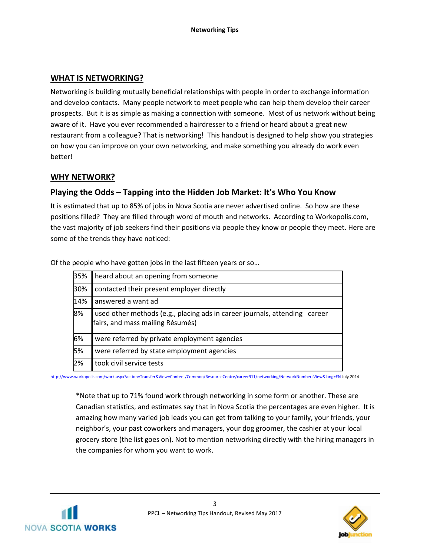# **WHAT IS NETWORKING?**

Networking is building mutually beneficial relationships with people in order to exchange information and develop contacts. Many people network to meet people who can help them develop their career prospects. But it is as simple as making a connection with someone. Most of us network without being aware of it. Have you ever recommended a hairdresser to a friend or heard about a great new restaurant from a colleague? That is networking! This handout is designed to help show you strategies on how you can improve on your own networking, and make something you already do work even better!

## **WHY NETWORK?**

# **Playing the Odds – Tapping into the Hidden Job Market: It's Who You Know**

It is estimated that up to 85% of jobs in Nova Scotia are never advertised online. So how are these positions filled? They are filled through word of mouth and networks. According to Workopolis.com, the vast majority of job seekers find their positions via people they know or people they meet. Here are some of the trends they have noticed:

| 35% | heard about an opening from someone                                                                            |
|-----|----------------------------------------------------------------------------------------------------------------|
| 30% | contacted their present employer directly                                                                      |
| 14% | answered a want ad                                                                                             |
| 8%  | used other methods (e.g., placing ads in career journals, attending career<br>fairs, and mass mailing Résumés) |
| 6%  | were referred by private employment agencies                                                                   |
| 5%  | were referred by state employment agencies                                                                     |
| 2%  | took civil service tests                                                                                       |

Of the people who have gotten jobs in the last fifteen years or so…

<http://www.workopolis.com/work.aspx?action=Transfer&View=Content/Common/ResourceCentre/career911/networking/NetworkNumbersView&lang=EN> July 2014

\*Note that up to 71% found work through networking in some form or another. These are Canadian statistics, and estimates say that in Nova Scotia the percentages are even higher. It is amazing how many varied job leads you can get from talking to your family, your friends, your neighbor's, your past coworkers and managers, your dog groomer, the cashier at your local grocery store (the list goes on). Not to mention networking directly with the hiring managers in the companies for whom you want to work.



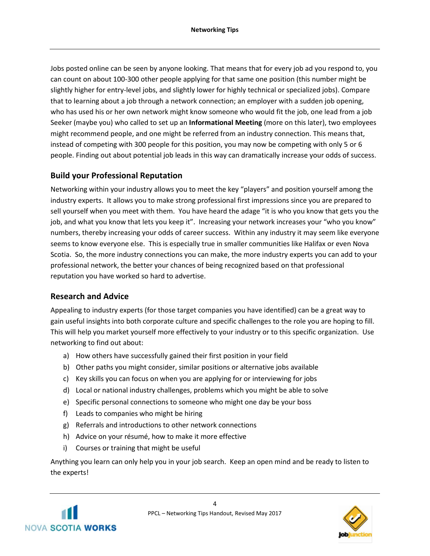Jobs posted online can be seen by anyone looking. That means that for every job ad you respond to, you can count on about 100-300 other people applying for that same one position (this number might be slightly higher for entry-level jobs, and slightly lower for highly technical or specialized jobs). Compare that to learning about a job through a network connection; an employer with a sudden job opening, who has used his or her own network might know someone who would fit the job, one lead from a job Seeker (maybe you) who called to set up an **Informational Meeting** (more on this later), two employees might recommend people, and one might be referred from an industry connection. This means that, instead of competing with 300 people for this position, you may now be competing with only 5 or 6 people. Finding out about potential job leads in this way can dramatically increase your odds of success.

# **Build your Professional Reputation**

Networking within your industry allows you to meet the key "players" and position yourself among the industry experts. It allows you to make strong professional first impressions since you are prepared to sell yourself when you meet with them. You have heard the adage "it is who you know that gets you the job, and what you know that lets you keep it". Increasing your network increases your "who you know" numbers, thereby increasing your odds of career success. Within any industry it may seem like everyone seems to know everyone else. This is especially true in smaller communities like Halifax or even Nova Scotia. So, the more industry connections you can make, the more industry experts you can add to your professional network, the better your chances of being recognized based on that professional reputation you have worked so hard to advertise.

# **Research and Advice**

Appealing to industry experts (for those target companies you have identified) can be a great way to gain useful insights into both corporate culture and specific challenges to the role you are hoping to fill. This will help you market yourself more effectively to your industry or to this specific organization. Use networking to find out about:

- a) How others have successfully gained their first position in your field
- b) Other paths you might consider, similar positions or alternative jobs available
- c) Key skills you can focus on when you are applying for or interviewing for jobs
- d) Local or national industry challenges, problems which you might be able to solve
- e) Specific personal connections to someone who might one day be your boss
- f) Leads to companies who might be hiring
- g) Referrals and introductions to other network connections
- h) Advice on your résumé, how to make it more effective
- i) Courses or training that might be useful

Anything you learn can only help you in your job search. Keep an open mind and be ready to listen to the experts!



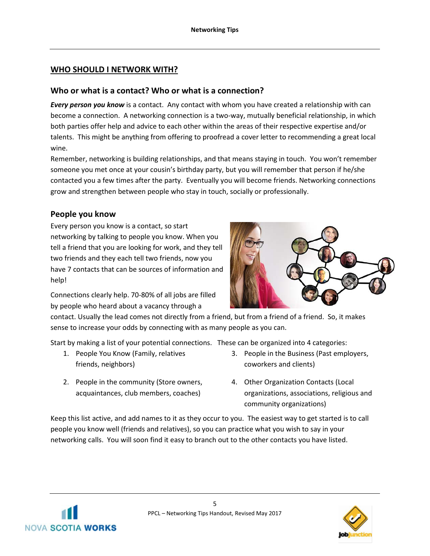# **WHO SHOULD I NETWORK WITH?**

## **Who or what is a contact? Who or what is a connection?**

*Every person you know* is a contact. Any contact with whom you have created a relationship with can become a connection. A networking connection is a two-way, mutually beneficial relationship, in which both parties offer help and advice to each other within the areas of their respective expertise and/or talents. This might be anything from offering to proofread a cover letter to recommending a great local wine.

Remember, networking is building relationships, and that means staying in touch. You won't remember someone you met once at your cousin's birthday party, but you will remember that person if he/she contacted you a few times after the party. Eventually you will become friends. Networking connections grow and strengthen between people who stay in touch, socially or professionally.

# **People you know**

Every person you know is a contact, so start networking by talking to people you know. When you tell a friend that you are looking for work, and they tell two friends and they each tell two friends, now you have 7 contacts that can be sources of information and help!

Connections clearly help. 70-80% of all jobs are filled by people who heard about a vacancy through a

contact. Usually the lead comes not directly from a friend, but from a friend of a friend. So, it makes sense to increase your odds by connecting with as many people as you can.

Start by making a list of your potential connections. These can be organized into 4 categories:

- 1. People You Know (Family, relatives friends, neighbors)
- 2. People in the community (Store owners, acquaintances, club members, coaches)
- 3. People in the Business (Past employers, coworkers and clients)
- 4. Other Organization Contacts (Local organizations, associations, religious and community organizations)

Keep this list active, and add names to it as they occur to you. The easiest way to get started is to call people you know well (friends and relatives), so you can practice what you wish to say in your networking calls. You will soon find it easy to branch out to the other contacts you have listed.





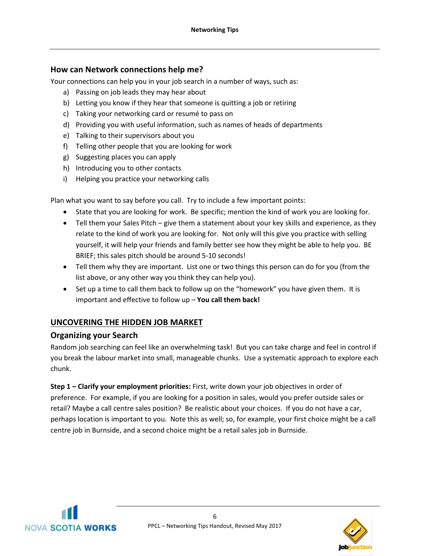# **How can Network connections help me?**

Your connections can help you in your job search in a number of ways, such as:

- a) Passing on job leads they may hear about
- b) Letting you know if they hear that someone is quitting a job or retiring
- c) Taking your networking card or resumé to pass on
- d) Providing you with useful information, such as names of heads of departments
- e) Talking to their supervisors about you
- f) Telling other people that you are looking for work
- g) Suggesting places you can apply
- h) Introducing you to other contacts
- i) Helping you practice your networking calls

Plan what you want to say before you call. Try to include a few important points:

- State that you are looking for work. Be specific; mention the kind of work you are looking for.
- Tell them your Sales Pitch give them a statement about your key skills and experience, as they relate to the kind of work you are looking for. Not only will this give you practice with selling yourself, it will help your friends and family better see how they might be able to help you. BE BRIEF; this sales pitch should be around 5-10 seconds!
- Tell them why they are important. List one or two things this person can do for you (from the list above, or any other way you think they can help you).
- Set up a time to call them back to follow up on the "homework" you have given them. It is important and effective to follow up – **You call them back!**

# **UNCOVERING THE HIDDEN JOB MARKET**

#### **Organizing your Search**

Random job searching can feel like an overwhelming task! But you can take charge and feel in control if you break the labour market into small, manageable chunks. Use a systematic approach to explore each chunk.

**Step 1 – Clarify your employment priorities:** First, write down your job objectives in order of preference. For example, if you are looking for a position in sales, would you prefer outside sales or retail? Maybe a call centre sales position? Be realistic about your choices. If you do not have a car, perhaps location is important to you. Note this as well; so, for example, your first choice might be a call centre job in Burnside, and a second choice might be a retail sales job in Burnside.



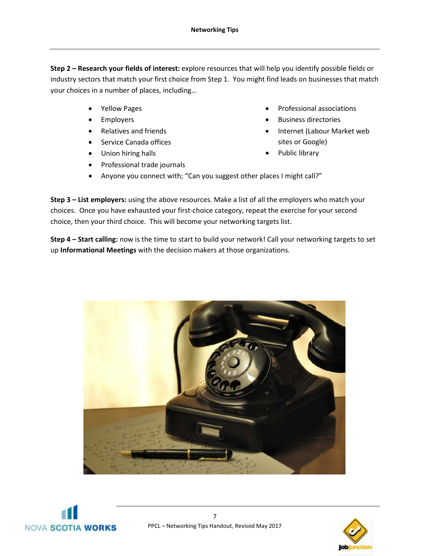**Step 2 – Research your fields of interest:** explore resources that will help you identify possible fields or industry sectors that match your first choice from Step 1. You might find leads on businesses that match your choices in a number of places, including…

- Yellow Pages
- **Employers**
- Relatives and friends
- Service Canada offices
- Union hiring halls
- Professional trade journals
- Professional associations
- Business directories
- Internet (Labour Market web sites or Google)
- Public library
- Anyone you connect with; "Can you suggest other places I might call?"

**Step 3 – List employers:** using the above resources. Make a list of all the employers who match your choices. Once you have exhausted your first-choice category, repeat the exercise for your second choice, then your third choice. This will become your networking targets list.

**Step 4 – Start calling:** now is the time to start to build your network! Call your networking targets to set up **Informational Meetings** with the decision makers at those organizations.





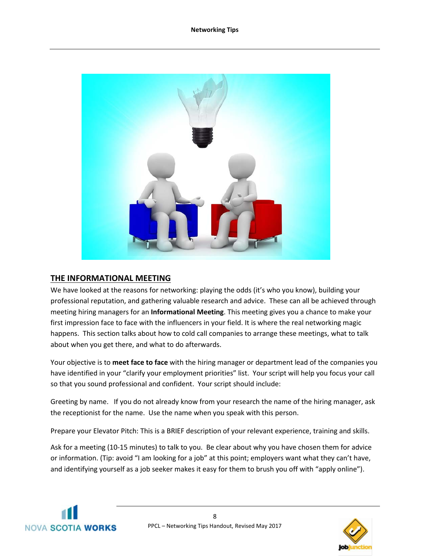

# **THE INFORMATIONAL MEETING**

We have looked at the reasons for networking: playing the odds (it's who you know), building your professional reputation, and gathering valuable research and advice. These can all be achieved through meeting hiring managers for an **Informational Meeting**. This meeting gives you a chance to make your first impression face to face with the influencers in your field. It is where the real networking magic happens. This section talks about how to cold call companies to arrange these meetings, what to talk about when you get there, and what to do afterwards.

Your objective is to **meet face to face** with the hiring manager or department lead of the companies you have identified in your "clarify your employment priorities" list. Your script will help you focus your call so that you sound professional and confident. Your script should include:

Greeting by name. If you do not already know from your research the name of the hiring manager, ask the receptionist for the name. Use the name when you speak with this person.

Prepare your Elevator Pitch: This is a BRIEF description of your relevant experience, training and skills.

Ask for a meeting (10-15 minutes) to talk to you. Be clear about why you have chosen them for advice or information. (Tip: avoid "I am looking for a job" at this point; employers want what they can't have, and identifying yourself as a job seeker makes it easy for them to brush you off with "apply online").



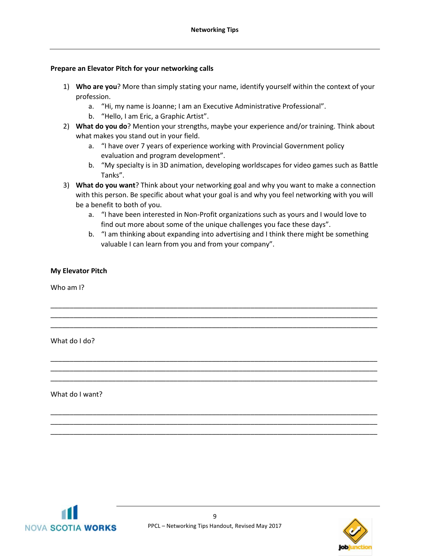#### **Prepare an Elevator Pitch for your networking calls**

- 1) **Who are you**? More than simply stating your name, identify yourself within the context of your profession.
	- a. "Hi, my name is Joanne; I am an Executive Administrative Professional".
	- b. "Hello, I am Eric, a Graphic Artist".
- 2) **What do you do**? Mention your strengths, maybe your experience and/or training. Think about what makes you stand out in your field.
	- a. "I have over 7 years of experience working with Provincial Government policy evaluation and program development".
	- b. "My specialty is in 3D animation, developing worldscapes for video games such as Battle Tanks".
- 3) **What do you want**? Think about your networking goal and why you want to make a connection with this person. Be specific about what your goal is and why you feel networking with you will be a benefit to both of you.

\_\_\_\_\_\_\_\_\_\_\_\_\_\_\_\_\_\_\_\_\_\_\_\_\_\_\_\_\_\_\_\_\_\_\_\_\_\_\_\_\_\_\_\_\_\_\_\_\_\_\_\_\_\_\_\_\_\_\_\_\_\_\_\_\_\_\_\_\_\_\_\_\_\_\_\_\_\_\_\_\_\_\_\_\_ \_\_\_\_\_\_\_\_\_\_\_\_\_\_\_\_\_\_\_\_\_\_\_\_\_\_\_\_\_\_\_\_\_\_\_\_\_\_\_\_\_\_\_\_\_\_\_\_\_\_\_\_\_\_\_\_\_\_\_\_\_\_\_\_\_\_\_\_\_\_\_\_\_\_\_\_\_\_\_\_\_\_\_\_\_ \_\_\_\_\_\_\_\_\_\_\_\_\_\_\_\_\_\_\_\_\_\_\_\_\_\_\_\_\_\_\_\_\_\_\_\_\_\_\_\_\_\_\_\_\_\_\_\_\_\_\_\_\_\_\_\_\_\_\_\_\_\_\_\_\_\_\_\_\_\_\_\_\_\_\_\_\_\_\_\_\_\_\_\_\_

\_\_\_\_\_\_\_\_\_\_\_\_\_\_\_\_\_\_\_\_\_\_\_\_\_\_\_\_\_\_\_\_\_\_\_\_\_\_\_\_\_\_\_\_\_\_\_\_\_\_\_\_\_\_\_\_\_\_\_\_\_\_\_\_\_\_\_\_\_\_\_\_\_\_\_\_\_\_\_\_\_\_\_\_\_ \_\_\_\_\_\_\_\_\_\_\_\_\_\_\_\_\_\_\_\_\_\_\_\_\_\_\_\_\_\_\_\_\_\_\_\_\_\_\_\_\_\_\_\_\_\_\_\_\_\_\_\_\_\_\_\_\_\_\_\_\_\_\_\_\_\_\_\_\_\_\_\_\_\_\_\_\_\_\_\_\_\_\_\_\_ \_\_\_\_\_\_\_\_\_\_\_\_\_\_\_\_\_\_\_\_\_\_\_\_\_\_\_\_\_\_\_\_\_\_\_\_\_\_\_\_\_\_\_\_\_\_\_\_\_\_\_\_\_\_\_\_\_\_\_\_\_\_\_\_\_\_\_\_\_\_\_\_\_\_\_\_\_\_\_\_\_\_\_\_\_

\_\_\_\_\_\_\_\_\_\_\_\_\_\_\_\_\_\_\_\_\_\_\_\_\_\_\_\_\_\_\_\_\_\_\_\_\_\_\_\_\_\_\_\_\_\_\_\_\_\_\_\_\_\_\_\_\_\_\_\_\_\_\_\_\_\_\_\_\_\_\_\_\_\_\_\_\_\_\_\_\_\_\_\_\_ \_\_\_\_\_\_\_\_\_\_\_\_\_\_\_\_\_\_\_\_\_\_\_\_\_\_\_\_\_\_\_\_\_\_\_\_\_\_\_\_\_\_\_\_\_\_\_\_\_\_\_\_\_\_\_\_\_\_\_\_\_\_\_\_\_\_\_\_\_\_\_\_\_\_\_\_\_\_\_\_\_\_\_\_\_ \_\_\_\_\_\_\_\_\_\_\_\_\_\_\_\_\_\_\_\_\_\_\_\_\_\_\_\_\_\_\_\_\_\_\_\_\_\_\_\_\_\_\_\_\_\_\_\_\_\_\_\_\_\_\_\_\_\_\_\_\_\_\_\_\_\_\_\_\_\_\_\_\_\_\_\_\_\_\_\_\_\_\_\_\_

- a. "I have been interested in Non-Profit organizations such as yours and I would love to find out more about some of the unique challenges you face these days".
- b. "I am thinking about expanding into advertising and I think there might be something valuable I can learn from you and from your company".

#### **My Elevator Pitch**

Who am I?

What do I do?

What do I want?



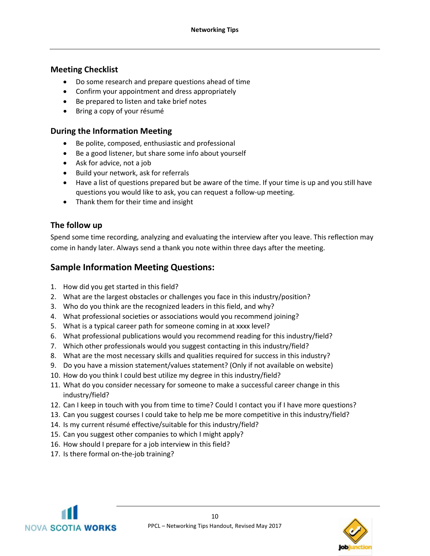# **Meeting Checklist**

- Do some research and prepare questions ahead of time
- Confirm your appointment and dress appropriately
- Be prepared to listen and take brief notes
- Bring a copy of your résumé

## **During the Information Meeting**

- Be polite, composed, enthusiastic and professional
- Be a good listener, but share some info about yourself
- Ask for advice, not a job
- Build your network, ask for referrals
- Have a list of questions prepared but be aware of the time. If your time is up and you still have questions you would like to ask, you can request a follow-up meeting.
- Thank them for their time and insight

# **The follow up**

Spend some time recording, analyzing and evaluating the interview after you leave. This reflection may come in handy later. Always send a thank you note within three days after the meeting.

# **Sample Information Meeting Questions:**

- 1. How did you get started in this field?
- 2. What are the largest obstacles or challenges you face in this industry/position?
- 3. Who do you think are the recognized leaders in this field, and why?
- 4. What professional societies or associations would you recommend joining?
- 5. What is a typical career path for someone coming in at xxxx level?
- 6. What professional publications would you recommend reading for this industry/field?
- 7. Which other professionals would you suggest contacting in this industry/field?
- 8. What are the most necessary skills and qualities required for success in this industry?
- 9. Do you have a mission statement/values statement? (Only if not available on website)
- 10. How do you think I could best utilize my degree in this industry/field?
- 11. What do you consider necessary for someone to make a successful career change in this industry/field?
- 12. Can I keep in touch with you from time to time? Could I contact you if I have more questions?
- 13. Can you suggest courses I could take to help me be more competitive in this industry/field?
- 14. Is my current résumé effective/suitable for this industry/field?
- 15. Can you suggest other companies to which I might apply?
- 16. How should I prepare for a job interview in this field?
- 17. Is there formal on-the-job training?



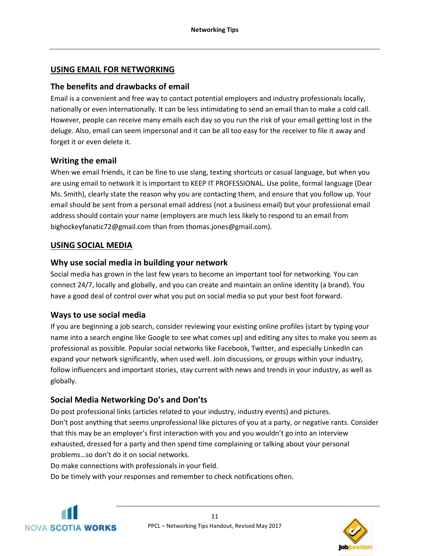#### **USING EMAIL FOR NETWORKING**

## **The benefits and drawbacks of email**

Email is a convenient and free way to contact potential employers and industry professionals locally, nationally or even internationally. It can be less intimidating to send an email than to make a cold call. However, people can receive many emails each day so you run the risk of your email getting lost in the deluge. Also, email can seem impersonal and it can be all too easy for the receiver to file it away and forget it or even delete it.

## **Writing the email**

When we email friends, it can be fine to use slang, texting shortcuts or casual language, but when you are using email to network it is important to KEEP IT PROFESSIONAL. Use polite, formal language (Dear Ms. Smith), clearly state the reason why you are contacting them, and ensure that you follow up. Your email should be sent from a personal email address (not a business email) but your professional email address should contain your name (employers are much less likely to respond to an email from bighockeyfanatic72@gmail.com than from thomas.jones@gmail.com).

## **USING SOCIAL MEDIA**

## **Why use social media in building your network**

Social media has grown in the last few years to become an important tool for networking. You can connect 24/7, locally and globally, and you can create and maintain an online identity (a brand). You have a good deal of control over what you put on social media so put your best foot forward.

#### **Ways to use social media**

If you are beginning a job search, consider reviewing your existing online profiles (start by typing your name into a search engine like Google to see what comes up) and editing any sites to make you seem as professional as possible. Popular social networks like Facebook, Twitter, and especially LinkedIn can expand your network significantly, when used well. Join discussions, or groups within your industry, follow influencers and important stories, stay current with news and trends in your industry, as well as globally.

# **Social Media Networking Do's and Don'ts**

Do post professional links (articles related to your industry, industry events) and pictures. Don't post anything that seems unprofessional like pictures of you at a party, or negative rants. Consider that this may be an employer's first interaction with you and you wouldn't go into an interview exhausted, dressed for a party and then spend time complaining or talking about your personal problems…so don't do it on social networks.

Do make connections with professionals in your field.

Do be timely with your responses and remember to check notifications often.